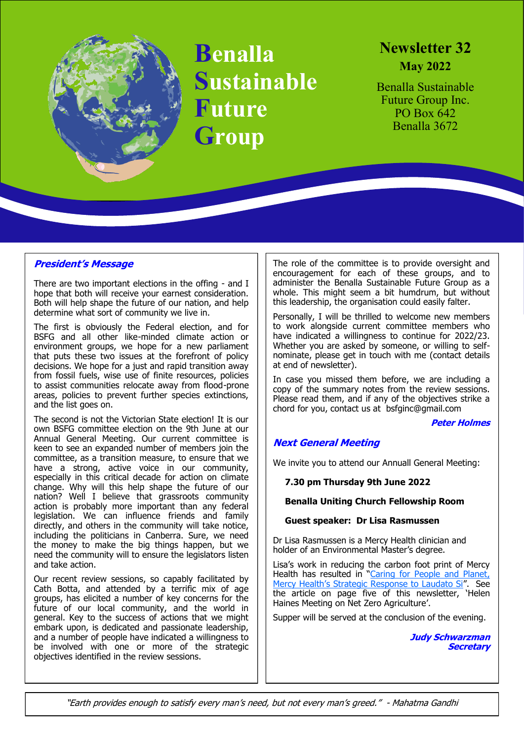

**Benalla Sustainable Future Group**

# **Newsletter 32 May 2022**

Benalla Sustainable Future Group Inc. PO Box 642 Benalla 3672

# **President's Message**

There are two important elections in the offing - and I hope that both will receive your earnest consideration. Both will help shape the future of our nation, and help determine what sort of community we live in.

The first is obviously the Federal election, and for BSFG and all other like-minded climate action or environment groups, we hope for a new parliament that puts these two issues at the forefront of policy decisions. We hope for a just and rapid transition away from fossil fuels, wise use of finite resources, policies to assist communities relocate away from flood-prone areas, policies to prevent further species extinctions, and the list goes on.

The second is not the Victorian State election! It is our own BSFG committee election on the 9th June at our Annual General Meeting. Our current committee is keen to see an expanded number of members join the committee, as a transition measure, to ensure that we have a strong, active voice in our community, especially in this critical decade for action on climate change. Why will this help shape the future of our nation? Well I believe that grassroots community action is probably more important than any federal legislation. We can influence friends and family directly, and others in the community will take notice, including the politicians in Canberra. Sure, we need the money to make the big things happen, but we need the community will to ensure the legislators listen and take action.

Our recent review sessions, so capably facilitated by Cath Botta, and attended by a terrific mix of age groups, has elicited a number of key concerns for the future of our local community, and the world in general. Key to the success of actions that we might embark upon, is dedicated and passionate leadership, and a number of people have indicated a willingness to be involved with one or more of the strategic objectives identified in the review sessions.

The role of the committee is to provide oversight and encouragement for each of these groups, and to administer the Benalla Sustainable Future Group as a whole. This might seem a bit humdrum, but without this leadership, the organisation could easily falter.

Personally, I will be thrilled to welcome new members to work alongside current committee members who have indicated a willingness to continue for 2022/23. Whether you are asked by someone, or willing to selfnominate, please get in touch with me (contact details at end of newsletter).

In case you missed them before, we are including a copy of the summary notes from the review sessions. Please read them, and if any of the objectives strike a chord for you, contact us at bsfginc@gmail.com

#### **Peter Holmes**

# **Next General Meeting**

We invite you to attend our Annuall General Meeting:

## **7.30 pm Thursday 9th June 2022**

## **Benalla Uniting Church Fellowship Room**

## **Guest speaker: Dr Lisa Rasmussen**

Dr Lisa Rasmussen is a Mercy Health clinician and holder of an Environmental Master's degree.

Lisa's work in reducing the carbon foot print of Mercy Health has resulted in "Caring for People and Planet, Mercy Health'[s Strategic Response to Laudato Si](https://www.mercyhealth.com.au/wp-content/uploads/sites/61/2021/12/Mercy-Health-Care-for-People-and-Planet-online-1.pdf)". See the article on page five of this newsletter, 'Helen Haines Meeting on Net Zero Agriculture'.

Supper will be served at the conclusion of the evening.

**Judy Schwarzman Secretary**

"Earth provides enough to satisfy every man's need, but not every man's greed." - Mahatma Gandhi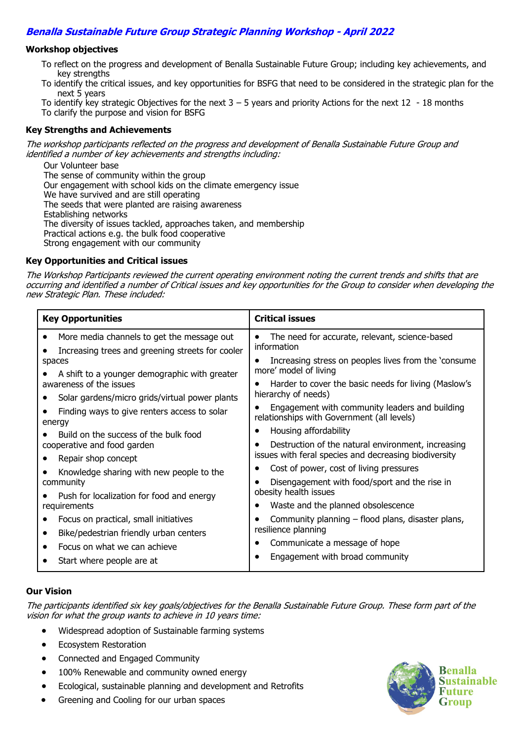# **Benalla Sustainable Future Group Strategic Planning Workshop - April 2022**

#### **Workshop objectives**

- To reflect on the progress and development of Benalla Sustainable Future Group; including key achievements, and key strengths
- To identify the critical issues, and key opportunities for BSFG that need to be considered in the strategic plan for the next 5 years
- To identify key strategic Objectives for the next  $3 5$  years and priority Actions for the next 12 18 months To clarify the purpose and vision for BSFG

## **Key Strengths and Achievements**

The workshop participants reflected on the progress and development of Benalla Sustainable Future Group and identified a number of key achievements and strengths including:

Our Volunteer base The sense of community within the group Our engagement with school kids on the climate emergency issue We have survived and are still operating The seeds that were planted are raising awareness Establishing networks The diversity of issues tackled, approaches taken, and membership Practical actions e.g. the bulk food cooperative Strong engagement with our community

## **Key Opportunities and Critical issues**

The Workshop Participants reviewed the current operating environment noting the current trends and shifts that are occurring and identified a number of Critical issues and key opportunities for the Group to consider when developing the new Strategic Plan. These included:

| <b>Key Opportunities</b>                                                                                                                                                                                                                                                                                                                                                                                                                                                                                              | <b>Critical issues</b>                                                                                                     |
|-----------------------------------------------------------------------------------------------------------------------------------------------------------------------------------------------------------------------------------------------------------------------------------------------------------------------------------------------------------------------------------------------------------------------------------------------------------------------------------------------------------------------|----------------------------------------------------------------------------------------------------------------------------|
| More media channels to get the message out<br>Increasing trees and greening streets for cooler<br>spaces<br>A shift to a younger demographic with greater<br>awareness of the issues<br>Solar gardens/micro grids/virtual power plants<br>Finding ways to give renters access to solar<br>energy<br>Build on the success of the bulk food<br>cooperative and food garden<br>Repair shop concept<br>Knowledge sharing with new people to the<br>community<br>Push for localization for food and energy<br>requirements | The need for accurate, relevant, science-based<br>٠<br>information<br>Increasing stress on peoples lives from the 'consume |
|                                                                                                                                                                                                                                                                                                                                                                                                                                                                                                                       | more' model of living<br>Harder to cover the basic needs for living (Maslow's<br>hierarchy of needs)                       |
|                                                                                                                                                                                                                                                                                                                                                                                                                                                                                                                       | Engagement with community leaders and building<br>relationships with Government (all levels)<br>Housing affordability      |
|                                                                                                                                                                                                                                                                                                                                                                                                                                                                                                                       | Destruction of the natural environment, increasing<br>issues with feral species and decreasing biodiversity                |
|                                                                                                                                                                                                                                                                                                                                                                                                                                                                                                                       | Cost of power, cost of living pressures<br>Disengagement with food/sport and the rise in<br>obesity health issues          |
|                                                                                                                                                                                                                                                                                                                                                                                                                                                                                                                       | Waste and the planned obsolescence                                                                                         |
| Focus on practical, small initiatives<br>Bike/pedestrian friendly urban centers<br>Focus on what we can achieve                                                                                                                                                                                                                                                                                                                                                                                                       | Community planning $-$ flood plans, disaster plans,<br>resilience planning<br>Communicate a message of hope                |
| Start where people are at                                                                                                                                                                                                                                                                                                                                                                                                                                                                                             | Engagement with broad community                                                                                            |

## **Our Vision**

The participants identified six key goals/objectives for the Benalla Sustainable Future Group. These form part of the vision for what the group wants to achieve in 10 years time:

- Widespread adoption of Sustainable farming systems
- Ecosystem Restoration
- Connected and Engaged Community
- 100% Renewable and community owned energy
- Ecological, sustainable planning and development and Retrofits
- Greening and Cooling for our urban spaces

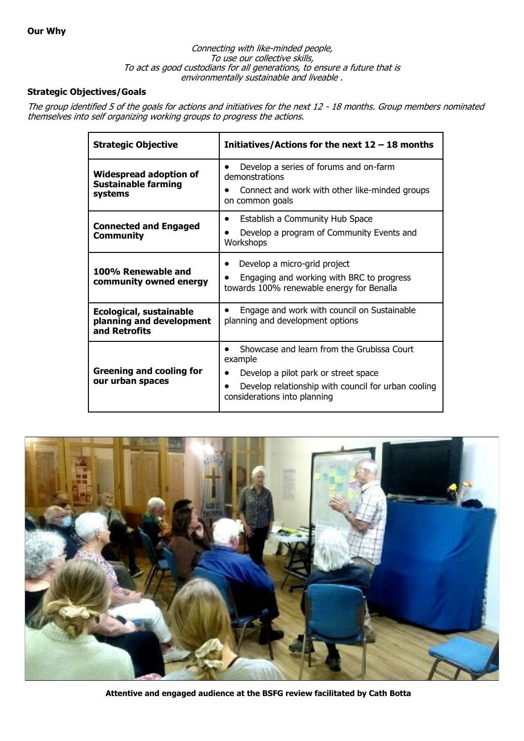#### Connecting with like-minded people, To use our collective skills, To act as good custodians for all generations, to ensure a future that is environmentally sustainable and liveable .

## **Strategic Objectives/Goals**

The group identified 5 of the goals for actions and initiatives for the next 12 - 18 months. Group members nominated themselves into self organizing working groups to progress the actions.

| <b>Strategic Objective</b>                                                  | Initiatives/Actions for the next $12-18$ months                                                                                                                                      |
|-----------------------------------------------------------------------------|--------------------------------------------------------------------------------------------------------------------------------------------------------------------------------------|
| <b>Widespread adoption of</b><br><b>Sustainable farming</b><br>systems      | Develop a series of forums and on-farm<br>demonstrations<br>Connect and work with other like-minded groups<br>on common goals                                                        |
| <b>Connected and Engaged</b><br><b>Community</b>                            | Establish a Community Hub Space<br>٠<br>Develop a program of Community Events and<br>Workshops                                                                                       |
| 100% Renewable and<br>community owned energy                                | Develop a micro-grid project<br>Engaging and working with BRC to progress<br>towards 100% renewable energy for Benalla                                                               |
| <b>Ecological, sustainable</b><br>planning and development<br>and Retrofits | Engage and work with council on Sustainable<br>planning and development options                                                                                                      |
| <b>Greening and cooling for</b><br>our urban spaces                         | Showcase and learn from the Grubissa Court<br>example<br>Develop a pilot park or street space<br>Develop relationship with council for urban cooling<br>considerations into planning |



**Attentive and engaged audience at the BSFG review facilitated by Cath Botta**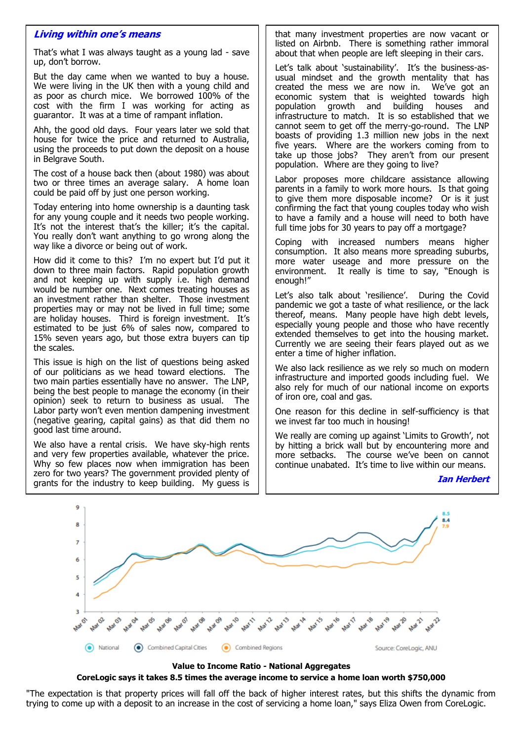## **Living within one's means**

That's what I was always taught as a young lad - save up, don't borrow.

But the day came when we wanted to buy a house. We were living in the UK then with a young child and as poor as church mice. We borrowed 100% of the cost with the firm I was working for acting as guarantor. It was at a time of rampant inflation.

Ahh, the good old days. Four years later we sold that house for twice the price and returned to Australia, using the proceeds to put down the deposit on a house in Belgrave South.

The cost of a house back then (about 1980) was about two or three times an average salary. A home loan could be paid off by just one person working.

Today entering into home ownership is a daunting task for any young couple and it needs two people working. It's not the interest that's the killer; it's the capital. You really don't want anything to go wrong along the way like a divorce or being out of work.

How did it come to this? I'm no expert but I'd put it down to three main factors. Rapid population growth and not keeping up with supply i.e. high demand would be number one. Next comes treating houses as an investment rather than shelter. Those investment properties may or may not be lived in full time; some are holiday houses. Third is foreign investment. It's estimated to be just 6% of sales now, compared to 15% seven years ago, but those extra buyers can tip the scales.

This issue is high on the list of questions being asked of our politicians as we head toward elections. The two main parties essentially have no answer. The LNP, being the best people to manage the economy (in their opinion) seek to return to business as usual. The Labor party won't even mention dampening investment (negative gearing, capital gains) as that did them no good last time around.

We also have a rental crisis. We have sky-high rents and very few properties available, whatever the price. Why so few places now when immigration has been zero for two years? The government provided plenty of grants for the industry to keep building. My guess is

that many investment properties are now vacant or listed on Airbnb. There is something rather immoral about that when people are left sleeping in their cars.

Let's talk about 'sustainability'. It's the business-asusual mindset and the growth mentality that has created the mess we are now in. We've got an economic system that is weighted towards high population growth and building houses and infrastructure to match. It is so established that we cannot seem to get off the merry-go-round. The LNP boasts of providing 1.3 million new jobs in the next five years. Where are the workers coming from to take up those jobs? They aren't from our present population. Where are they going to live?

Labor proposes more childcare assistance allowing parents in a family to work more hours. Is that going to give them more disposable income? Or is it just confirming the fact that young couples today who wish to have a family and a house will need to both have full time jobs for 30 years to pay off a mortgage?

Coping with increased numbers means higher consumption. It also means more spreading suburbs, more water useage and more pressure on the environment. It really is time to say, "Enough is enough!"

Let's also talk about 'resilience'. During the Covid pandemic we got a taste of what resilience, or the lack thereof, means. Many people have high debt levels, especially young people and those who have recently extended themselves to get into the housing market. Currently we are seeing their fears played out as we enter a time of higher inflation.

We also lack resilience as we rely so much on modern infrastructure and imported goods including fuel. We also rely for much of our national income on exports of iron ore, coal and gas.

One reason for this decline in self-sufficiency is that we invest far too much in housing!

We really are coming up against 'Limits to Growth', not by hitting a brick wall but by encountering more and more setbacks. The course we've been on cannot continue unabated. It's time to live within our means.

**Ian Herbert**



#### **Value to Income Ratio - National Aggregates CoreLogic says it takes 8.5 times the average income to service a home loan worth \$750,000**

"The expectation is that property prices will fall off the back of higher interest rates, but this shifts the dynamic from trying to come up with a deposit to an increase in the cost of servicing a home loan," says Eliza Owen from CoreLogic.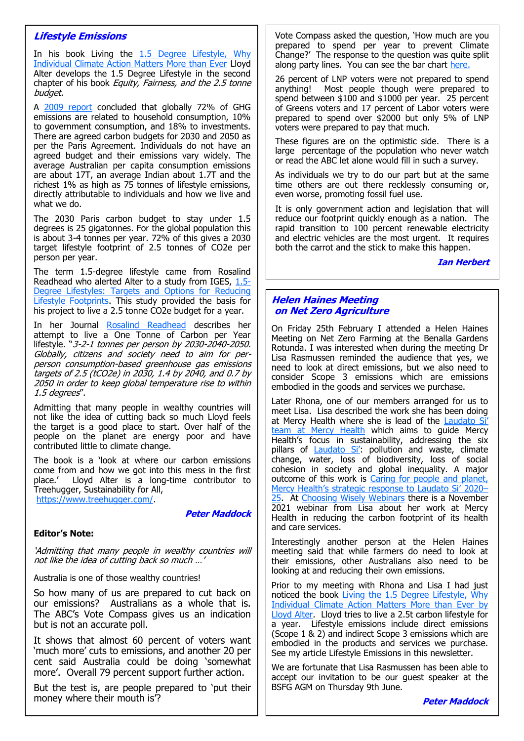## **Lifestyle Emissions**

In his book Living the 1.5 Degree Lifestyle, Why [Individual Climate Action Matters More than Ever](https://newsociety.com/books/l/living-the-1-5-degree-lifestyle?_ga=2.134434997.595386377.1652418805-1565029659.1652418804&sitedomain=row) Lloyd Alter develops the 1.5 Degree Lifestyle in the second chapter of his book Equity, Fairness, and the 2.5 tonne budget.

A [2009 report](https://pubs.acs.org/doi/10.1021/es072023k) concluded that globally 72% of GHG emissions are related to household consumption, 10% to government consumption, and 18% to investments. There are agreed carbon budgets for 2030 and 2050 as per the Paris Agreement. Individuals do not have an agreed budget and their emissions vary widely. The average Australian per capita consumption emissions are about 17T, an average Indian about 1.7T and the richest 1% as high as 75 tonnes of lifestyle emissions, directly attributable to individuals and how we live and what we do.

The 2030 Paris carbon budget to stay under 1.5 degrees is 25 gigatonnes. For the global population this is about 3-4 tonnes per year. 72% of this gives a 2030 target lifestyle footprint of 2.5 tonnes of CO2e per person per year.

The term 1.5-degree lifestyle came from Rosalind Readhead who alerted Alter to a study from IGES, [1.5](https://www.iges.or.jp/en/pub/15-degrees-lifestyles-2019/en)- Degree Lifestyles: Targets and Options for Reducing [Lifestyle Footprints.](https://www.iges.or.jp/en/pub/15-degrees-lifestyles-2019/en) This study provided the basis for his project to live a 2.5 tonne CO2e budget for a year.

In her Journal [Rosalind Readhead](https://rosalindreadhead.wordpress.com/) describes her attempt to live a One Tonne of Carbon per Year lifestyle. "3-2-1 tonnes per person by 2030-2040-2050. Globally, citizens and society need to aim for perperson consumption-based greenhouse gas emissions targets of 2.5 (tCO2e) in 2030, 1.4 by 2040, and 0.7 by 2050 in order to keep global temperature rise to within 1.5 degrees".

Admitting that many people in wealthy countries will not like the idea of cutting back so much Lloyd feels the target is a good place to start. Over half of the people on the planet are energy poor and have contributed little to climate change.

The book is a 'look at where our carbon emissions come from and how we got into this mess in the first place.' Lloyd Alter is a long-time contributor to Lloyd Alter is a long-time contributor to Treehugger, Sustainability for All,

[https://www.treehugger.com/.](https://www.treehugger.com/)

#### **Peter Maddock**

#### **Editor's Note:**

'Admitting that many people in wealthy countries will not like the idea of cutting back so much …'

Australia is one of those wealthy countries!

So how many of us are prepared to cut back on our emissions? Australians as a whole that is. The ABC's Vote Compass gives us an indication but is not an accurate poll.

It shows that almost 60 percent of voters want 'much more' cuts to emissions, and another 20 per cent said Australia could be doing 'somewhat more'. Overall 79 percent support further action.

But the test is, are people prepared to 'put their money where their mouth is'?

Vote Compass asked the question, 'How much are you prepared to spend per year to prevent Climate Change?' The response to the question was quite split along party lines. You can see the bar chart [here.](https://www.abc.net.au/news/2022-05-05/australians-support-action-reduce-carbon-emissions-vote-compass/101039162)

26 percent of LNP voters were not prepared to spend anything! Most people though were prepared to spend between \$100 and \$1000 per year. 25 percent of Greens voters and 17 percent of Labor voters were prepared to spend over \$2000 but only 5% of LNP voters were prepared to pay that much.

These figures are on the optimistic side. There is a large percentage of the population who never watch or read the ABC let alone would fill in such a survey.

As individuals we try to do our part but at the same time others are out there recklessly consuming or, even worse, promoting fossil fuel use.

It is only government action and legislation that will reduce our footprint quickly enough as a nation. The rapid transition to 100 percent renewable electricity and electric vehicles are the most urgent. It requires both the carrot and the stick to make this happen.

**Ian Herbert**

## **Helen Haines Meeting on Net Zero Agriculture**

On Friday 25th February I attended a Helen Haines Meeting on Net Zero Farming at the Benalla Gardens Rotunda. I was interested when during the meeting Dr Lisa Rasmussen reminded the audience that yes, we need to look at direct emissions, but we also need to consider Scope 3 emissions which are emissions embodied in the goods and services we purchase.

Later Rhona, one of our members arranged for us to meet Lisa. Lisa described the work she has been doing at Mercy Health where she is lead of the [Laudato Si](https://institute.mercy.org.au/laudato-si-at-mercy-health/)' [team at Mercy Health](https://institute.mercy.org.au/laudato-si-at-mercy-health/) which aims to guide Mercy Health's focus in sustainability, addressing the six pillars of **[Laudato Si](https://www.vatican.va/content/francesco/en/encyclicals/documents/papa-francesco_20150524_enciclica-laudato-si.html)'**: pollution and waste, climate change, water, loss of biodiversity, loss of social cohesion in society and global inequality. A major outcome of this work is [Caring for people and planet,](https://www.mercyhealth.com.au/wp-content/uploads/sites/61/2021/12/Mercy-Health-Care-for-People-and-Planet-online-1.pdf)  Mercy Health'[s strategic response to Laudato Si](https://www.mercyhealth.com.au/wp-content/uploads/sites/61/2021/12/Mercy-Health-Care-for-People-and-Planet-online-1.pdf)' 2020– [25.](https://www.mercyhealth.com.au/wp-content/uploads/sites/61/2021/12/Mercy-Health-Care-for-People-and-Planet-online-1.pdf) At [Choosing Wisely Webinars](https://www.choosingwisely.org.au/choosing-wisely-webinars) there is a November 2021 webinar from Lisa about her work at Mercy Health in reducing the carbon footprint of its health and care services.

Interestingly another person at the Helen Haines meeting said that while farmers do need to look at their emissions, other Australians also need to be looking at and reducing their own emissions.

Prior to my meeting with Rhona and Lisa I had just noticed the book [Living the 1.5 Degree Lifestyle, Why](https://newsociety.com/books/l/living-the-1-5-degree-lifestyle?_ga=2.134434997.595386377.1652418805-1565029659.1652418804&sitedomain=row)  [Individual Climate Action Matters More than Ever by](https://newsociety.com/books/l/living-the-1-5-degree-lifestyle?_ga=2.134434997.595386377.1652418805-1565029659.1652418804&sitedomain=row)  [Lloyd Alter.](https://newsociety.com/books/l/living-the-1-5-degree-lifestyle?_ga=2.134434997.595386377.1652418805-1565029659.1652418804&sitedomain=row) Lloyd tries to live a 2.5t carbon lifestyle for a year. Lifestyle emissions include direct emissions (Scope 1 & 2) and indirect Scope 3 emissions which are embodied in the products and services we purchase. See my article Lifestyle Emissions in this newsletter.

We are fortunate that Lisa Rasmussen has been able to accept our invitation to be our guest speaker at the BSFG AGM on Thursday 9th June.

**Peter Maddock**